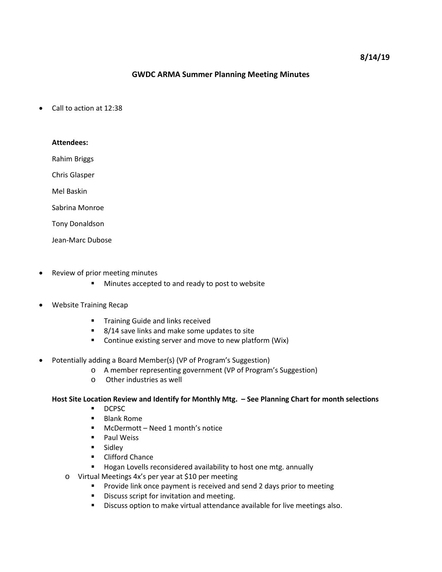## **GWDC ARMA Summer Planning Meeting Minutes**

Call to action at 12:38

| <b>Attendees:</b>     |
|-----------------------|
| Rahim Briggs          |
| <b>Chris Glasper</b>  |
| Mel Baskin            |
| Sabrina Monroe        |
| <b>Tony Donaldson</b> |
| Jean-Marc Dubose      |

- Review of prior meeting minutes
	- **Minutes accepted to and ready to post to website**
- Website Training Recap
	- **Training Guide and links received**
	- 8/14 save links and make some updates to site
	- **•** Continue existing server and move to new platform (Wix)
- Potentially adding a Board Member(s) (VP of Program's Suggestion)
	- o A member representing government (VP of Program's Suggestion)
	- o Other industries as well

#### **Host Site Location Review and Identify for Monthly Mtg. – See Planning Chart for month selections**

- DCPSC
- **Blank Rome**
- McDermott Need 1 month's notice
- **Paul Weiss**
- **Sidley**
- **Exercise Clifford Chance**
- **Hogan Lovells reconsidered availability to host one mtg. annually**
- o Virtual Meetings 4x's per year at \$10 per meeting
	- **Provide link once payment is received and send 2 days prior to meeting**
	- **Discuss script for invitation and meeting.**
	- Discuss option to make virtual attendance available for live meetings also.